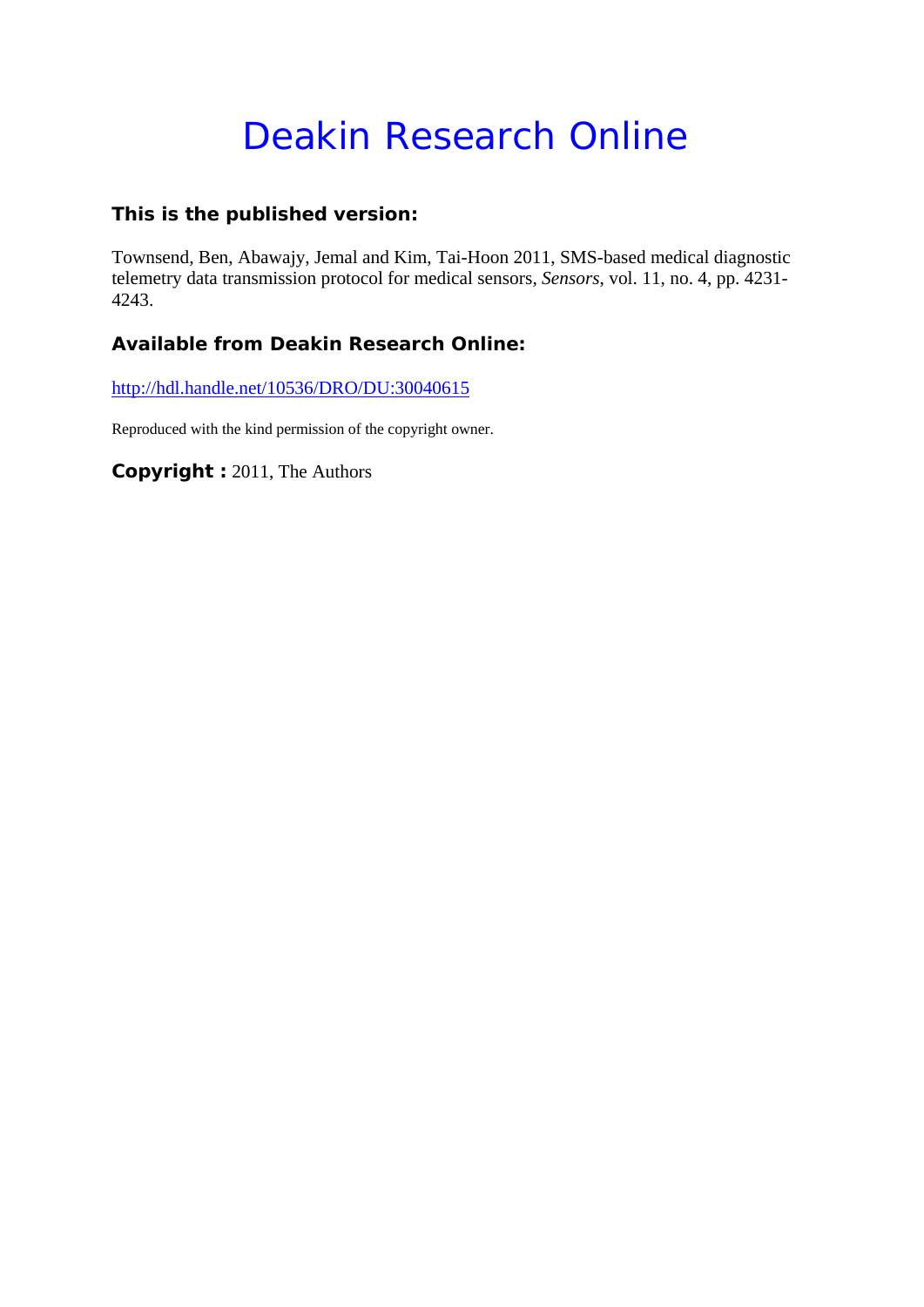# Deakin Research Online

## **This is the published version:**

Townsend, Ben, Abawajy, Jemal and Kim, Tai-Hoon 2011, SMS-based medical diagnostic telemetry data transmission protocol for medical sensors*, Sensors*, vol. 11, no. 4, pp. 4231- 4243.

# **Available from Deakin Research Online:**

http://hdl.handle.net/10536/DRO/DU:30040615

Reproduced with the kind permission of the copyright owner.

**Copyright :** 2011, The Authors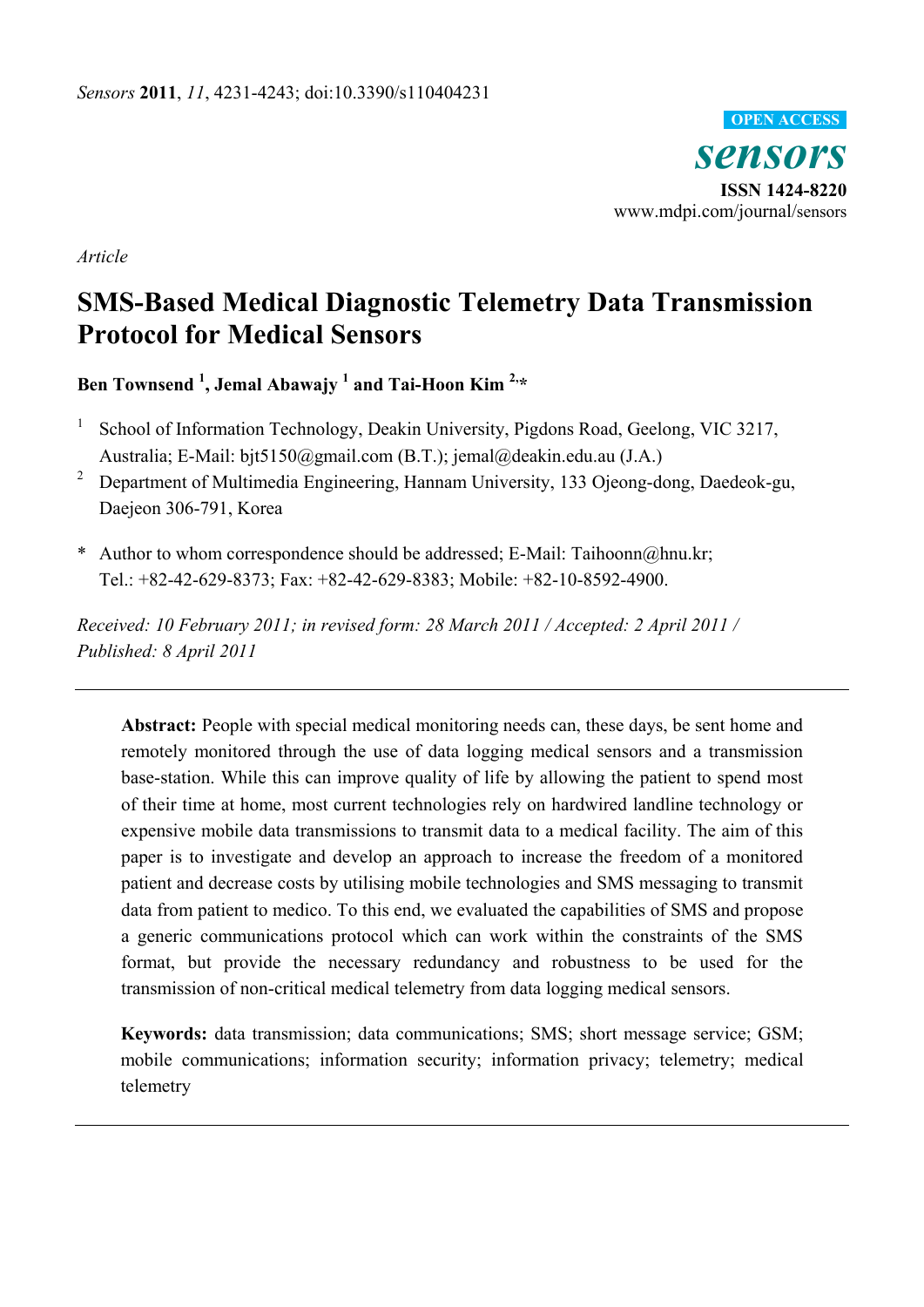*sensors*  **ISSN 1424-8220**  www.mdpi.com/journal/sensors **OPEN ACCESS**

*Article* 

# **SMS-Based Medical Diagnostic Telemetry Data Transmission Protocol for Medical Sensors**

**Ben Townsend <sup>1</sup> , Jemal Abawajy 1 and Tai-Hoon Kim 2,\*** 

- 1 School of Information Technology, Deakin University, Pigdons Road, Geelong, VIC 3217, Australia; E-Mail: bjt5150@gmail.com (B.T.); jemal@deakin.edu.au (J.A.)
- 2 Department of Multimedia Engineering, Hannam University, 133 Ojeong-dong, Daedeok-gu, Daejeon 306-791, Korea
- \* Author to whom correspondence should be addressed; E-Mail: Taihoonn@hnu.kr; Tel.: +82-42-629-8373; Fax: +82-42-629-8383; Mobile: +82-10-8592-4900.

*Received: 10 February 2011; in revised form: 28 March 2011 / Accepted: 2 April 2011 / Published: 8 April 2011* 

**Abstract:** People with special medical monitoring needs can, these days, be sent home and remotely monitored through the use of data logging medical sensors and a transmission base-station. While this can improve quality of life by allowing the patient to spend most of their time at home, most current technologies rely on hardwired landline technology or expensive mobile data transmissions to transmit data to a medical facility. The aim of this paper is to investigate and develop an approach to increase the freedom of a monitored patient and decrease costs by utilising mobile technologies and SMS messaging to transmit data from patient to medico. To this end, we evaluated the capabilities of SMS and propose a generic communications protocol which can work within the constraints of the SMS format, but provide the necessary redundancy and robustness to be used for the transmission of non-critical medical telemetry from data logging medical sensors.

**Keywords:** data transmission; data communications; SMS; short message service; GSM; mobile communications; information security; information privacy; telemetry; medical telemetry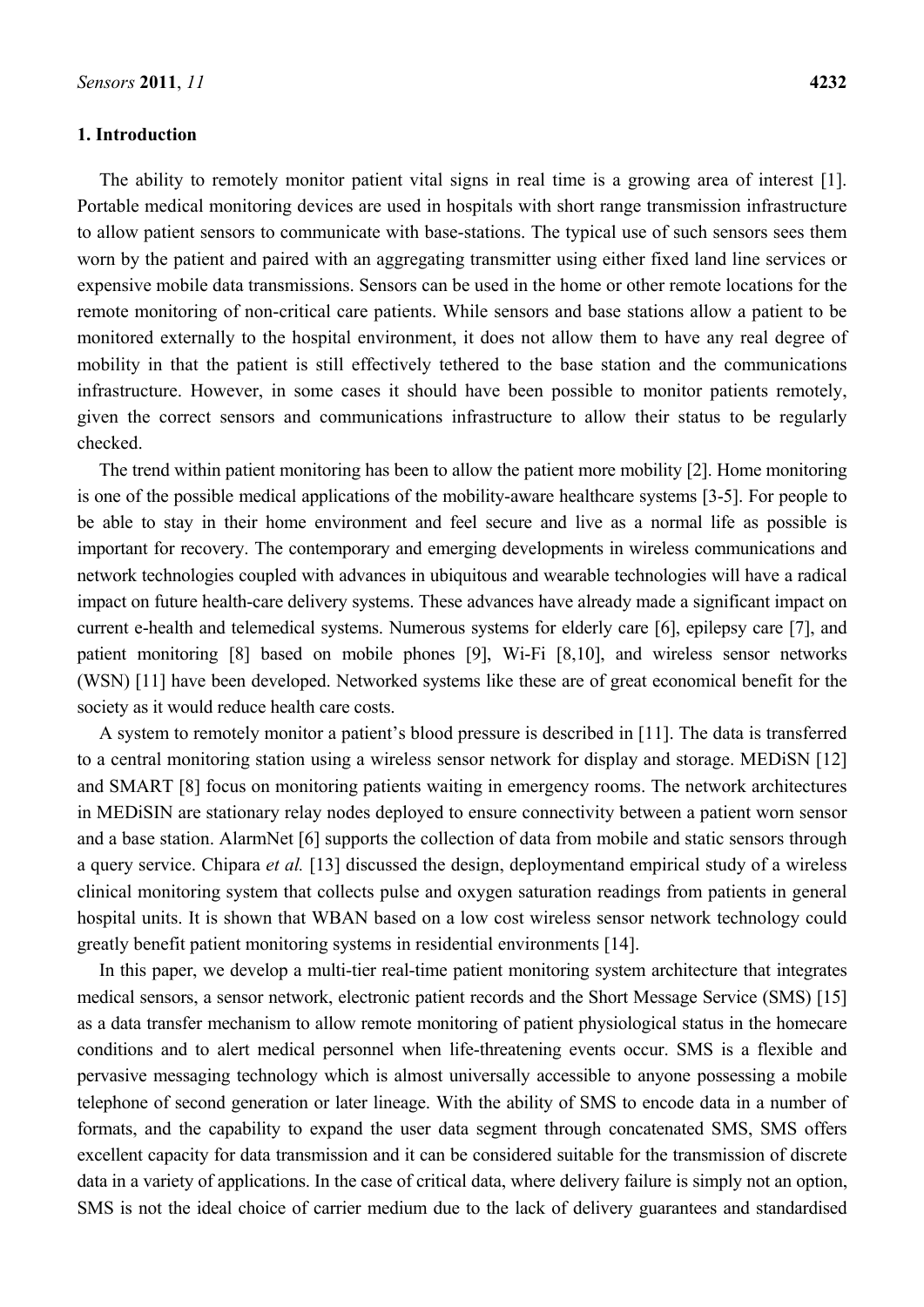#### **1. Introduction**

The ability to remotely monitor patient vital signs in real time is a growing area of interest [1]. Portable medical monitoring devices are used in hospitals with short range transmission infrastructure to allow patient sensors to communicate with base-stations. The typical use of such sensors sees them worn by the patient and paired with an aggregating transmitter using either fixed land line services or expensive mobile data transmissions. Sensors can be used in the home or other remote locations for the remote monitoring of non-critical care patients. While sensors and base stations allow a patient to be monitored externally to the hospital environment, it does not allow them to have any real degree of mobility in that the patient is still effectively tethered to the base station and the communications infrastructure. However, in some cases it should have been possible to monitor patients remotely, given the correct sensors and communications infrastructure to allow their status to be regularly checked.

The trend within patient monitoring has been to allow the patient more mobility [2]. Home monitoring is one of the possible medical applications of the mobility-aware healthcare systems [3-5]. For people to be able to stay in their home environment and feel secure and live as a normal life as possible is important for recovery. The contemporary and emerging developments in wireless communications and network technologies coupled with advances in ubiquitous and wearable technologies will have a radical impact on future health-care delivery systems. These advances have already made a significant impact on current e-health and telemedical systems. Numerous systems for elderly care [6], epilepsy care [7], and patient monitoring [8] based on mobile phones [9], Wi-Fi [8,10], and wireless sensor networks (WSN) [11] have been developed. Networked systems like these are of great economical benefit for the society as it would reduce health care costs.

A system to remotely monitor a patient's blood pressure is described in [11]. The data is transferred to a central monitoring station using a wireless sensor network for display and storage. MEDiSN [12] and SMART [8] focus on monitoring patients waiting in emergency rooms. The network architectures in MEDiSIN are stationary relay nodes deployed to ensure connectivity between a patient worn sensor and a base station. AlarmNet [6] supports the collection of data from mobile and static sensors through a query service. Chipara *et al.* [13] discussed the design, deploymentand empirical study of a wireless clinical monitoring system that collects pulse and oxygen saturation readings from patients in general hospital units. It is shown that WBAN based on a low cost wireless sensor network technology could greatly benefit patient monitoring systems in residential environments [14].

In this paper, we develop a multi-tier real-time patient monitoring system architecture that integrates medical sensors, a sensor network, electronic patient records and the Short Message Service (SMS) [15] as a data transfer mechanism to allow remote monitoring of patient physiological status in the homecare conditions and to alert medical personnel when life-threatening events occur. SMS is a flexible and pervasive messaging technology which is almost universally accessible to anyone possessing a mobile telephone of second generation or later lineage. With the ability of SMS to encode data in a number of formats, and the capability to expand the user data segment through concatenated SMS, SMS offers excellent capacity for data transmission and it can be considered suitable for the transmission of discrete data in a variety of applications. In the case of critical data, where delivery failure is simply not an option, SMS is not the ideal choice of carrier medium due to the lack of delivery guarantees and standardised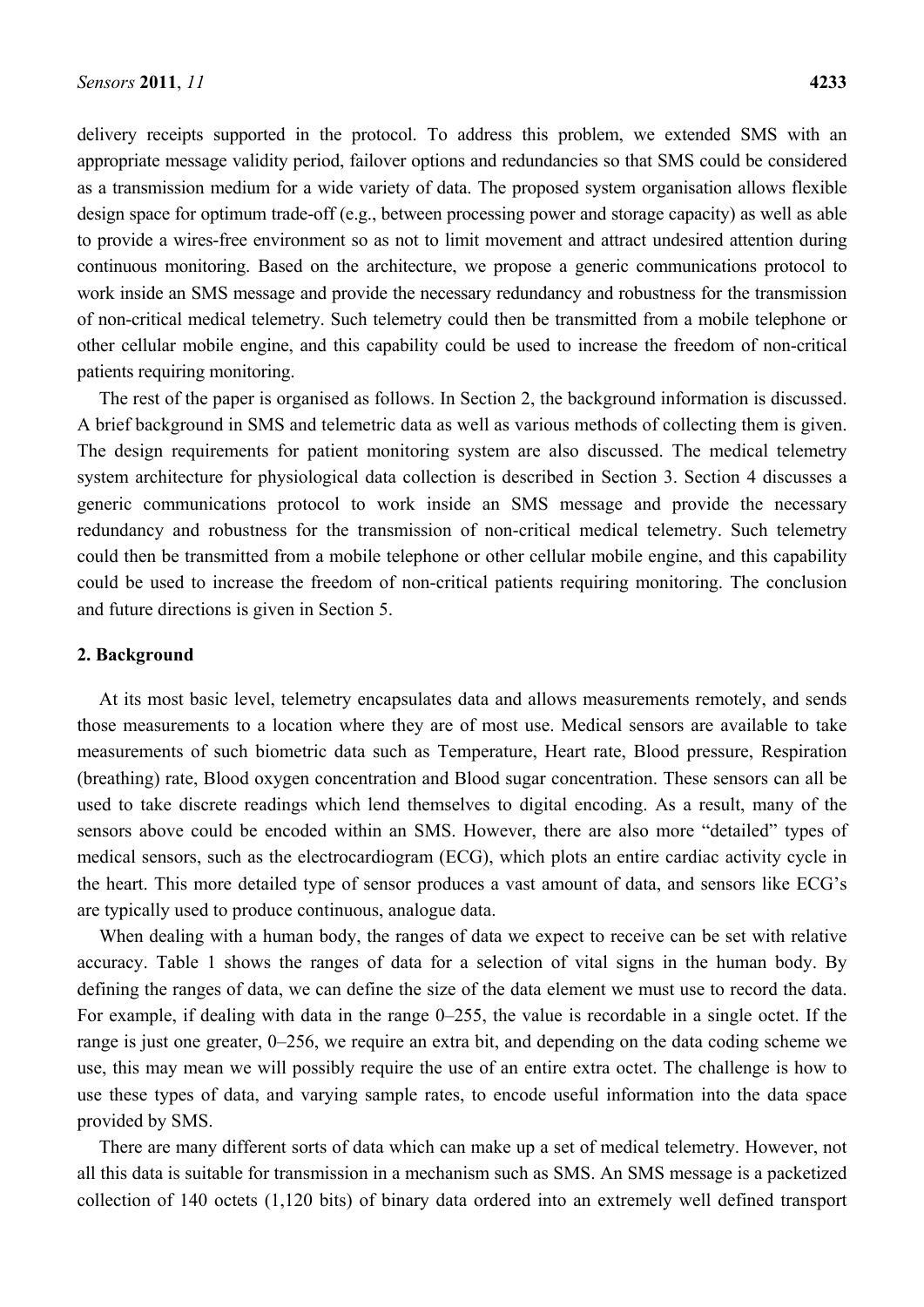delivery receipts supported in the protocol. To address this problem, we extended SMS with an appropriate message validity period, failover options and redundancies so that SMS could be considered as a transmission medium for a wide variety of data. The proposed system organisation allows flexible design space for optimum trade-off (e.g., between processing power and storage capacity) as well as able to provide a wires-free environment so as not to limit movement and attract undesired attention during continuous monitoring. Based on the architecture, we propose a generic communications protocol to work inside an SMS message and provide the necessary redundancy and robustness for the transmission of non-critical medical telemetry. Such telemetry could then be transmitted from a mobile telephone or other cellular mobile engine, and this capability could be used to increase the freedom of non-critical patients requiring monitoring.

The rest of the paper is organised as follows. In Section 2, the background information is discussed. A brief background in SMS and telemetric data as well as various methods of collecting them is given. The design requirements for patient monitoring system are also discussed. The medical telemetry system architecture for physiological data collection is described in Section 3. Section 4 discusses a generic communications protocol to work inside an SMS message and provide the necessary redundancy and robustness for the transmission of non-critical medical telemetry. Such telemetry could then be transmitted from a mobile telephone or other cellular mobile engine, and this capability could be used to increase the freedom of non-critical patients requiring monitoring. The conclusion and future directions is given in Section 5.

#### **2. Background**

At its most basic level, telemetry encapsulates data and allows measurements remotely, and sends those measurements to a location where they are of most use. Medical sensors are available to take measurements of such biometric data such as Temperature, Heart rate, Blood pressure, Respiration (breathing) rate, Blood oxygen concentration and Blood sugar concentration. These sensors can all be used to take discrete readings which lend themselves to digital encoding. As a result, many of the sensors above could be encoded within an SMS. However, there are also more "detailed" types of medical sensors, such as the electrocardiogram (ECG), which plots an entire cardiac activity cycle in the heart. This more detailed type of sensor produces a vast amount of data, and sensors like ECG's are typically used to produce continuous, analogue data.

When dealing with a human body, the ranges of data we expect to receive can be set with relative accuracy. Table 1 shows the ranges of data for a selection of vital signs in the human body. By defining the ranges of data, we can define the size of the data element we must use to record the data. For example, if dealing with data in the range 0–255, the value is recordable in a single octet. If the range is just one greater, 0–256, we require an extra bit, and depending on the data coding scheme we use, this may mean we will possibly require the use of an entire extra octet. The challenge is how to use these types of data, and varying sample rates, to encode useful information into the data space provided by SMS.

There are many different sorts of data which can make up a set of medical telemetry. However, not all this data is suitable for transmission in a mechanism such as SMS. An SMS message is a packetized collection of 140 octets (1,120 bits) of binary data ordered into an extremely well defined transport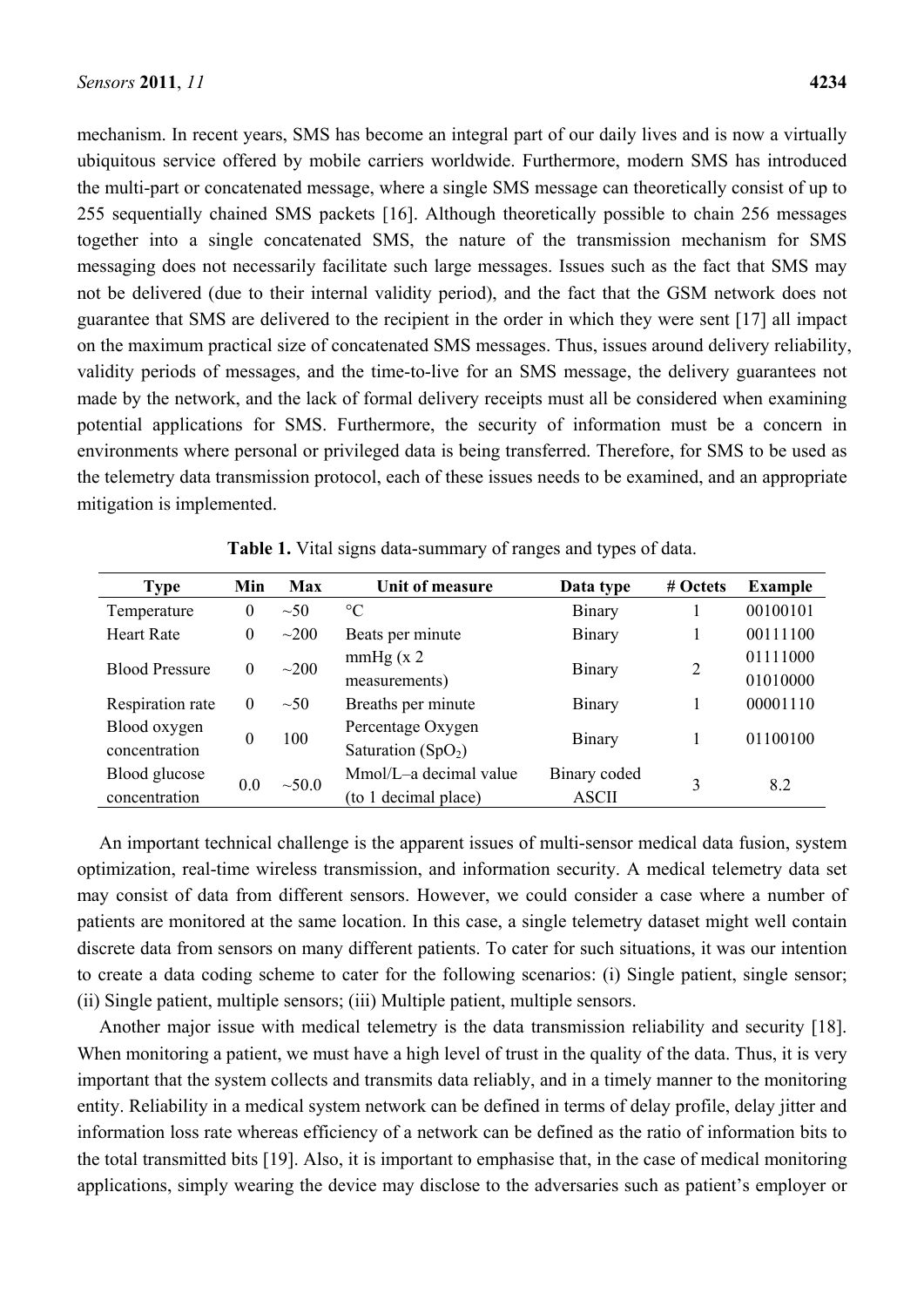mechanism. In recent years, SMS has become an integral part of our daily lives and is now a virtually ubiquitous service offered by mobile carriers worldwide. Furthermore, modern SMS has introduced the multi-part or concatenated message, where a single SMS message can theoretically consist of up to 255 sequentially chained SMS packets [16]. Although theoretically possible to chain 256 messages together into a single concatenated SMS, the nature of the transmission mechanism for SMS messaging does not necessarily facilitate such large messages. Issues such as the fact that SMS may not be delivered (due to their internal validity period), and the fact that the GSM network does not guarantee that SMS are delivered to the recipient in the order in which they were sent [17] all impact on the maximum practical size of concatenated SMS messages. Thus, issues around delivery reliability, validity periods of messages, and the time-to-live for an SMS message, the delivery guarantees not made by the network, and the lack of formal delivery receipts must all be considered when examining potential applications for SMS. Furthermore, the security of information must be a concern in environments where personal or privileged data is being transferred. Therefore, for SMS to be used as the telemetry data transmission protocol, each of these issues needs to be examined, and an appropriate mitigation is implemented.

| <b>Type</b>           | Min      | <b>Max</b> | Unit of measure        | Data type                    | # Octets       | <b>Example</b> |
|-----------------------|----------|------------|------------------------|------------------------------|----------------|----------------|
| Temperature           | $\theta$ | $\sim 50$  | $\rm ^{\circ}C$        | Binary                       |                | 00100101       |
| <b>Heart Rate</b>     | $\theta$ | $\sim$ 200 | Beats per minute       | <b>Binary</b>                |                | 00111100       |
| <b>Blood Pressure</b> | $\Omega$ | $\sim$ 200 | mmHg(x 2)              | <b>Binary</b>                | $\overline{2}$ | 01111000       |
|                       |          |            | measurements)          |                              |                | 01010000       |
| Respiration rate      | $\theta$ | $\sim 50$  | Breaths per minute     | <b>Binary</b>                |                | 00001110       |
| Blood oxygen          | $\theta$ | 100        | Percentage Oxygen      | Binary                       |                | 01100100       |
| concentration         |          |            | Saturation $(SpO2)$    |                              |                |                |
| Blood glucose         | 0.0      | ~10.0      | Mmol/L-a decimal value | Binary coded<br><b>ASCII</b> | 3              | 8.2            |
| concentration         |          |            | (to 1 decimal place)   |                              |                |                |

**Table 1.** Vital signs data-summary of ranges and types of data.

An important technical challenge is the apparent issues of multi-sensor medical data fusion, system optimization, real-time wireless transmission, and information security. A medical telemetry data set may consist of data from different sensors. However, we could consider a case where a number of patients are monitored at the same location. In this case, a single telemetry dataset might well contain discrete data from sensors on many different patients. To cater for such situations, it was our intention to create a data coding scheme to cater for the following scenarios: (i) Single patient, single sensor; (ii) Single patient, multiple sensors; (iii) Multiple patient, multiple sensors.

Another major issue with medical telemetry is the data transmission reliability and security [18]. When monitoring a patient, we must have a high level of trust in the quality of the data. Thus, it is very important that the system collects and transmits data reliably, and in a timely manner to the monitoring entity. Reliability in a medical system network can be defined in terms of delay profile, delay jitter and information loss rate whereas efficiency of a network can be defined as the ratio of information bits to the total transmitted bits [19]. Also, it is important to emphasise that, in the case of medical monitoring applications, simply wearing the device may disclose to the adversaries such as patient's employer or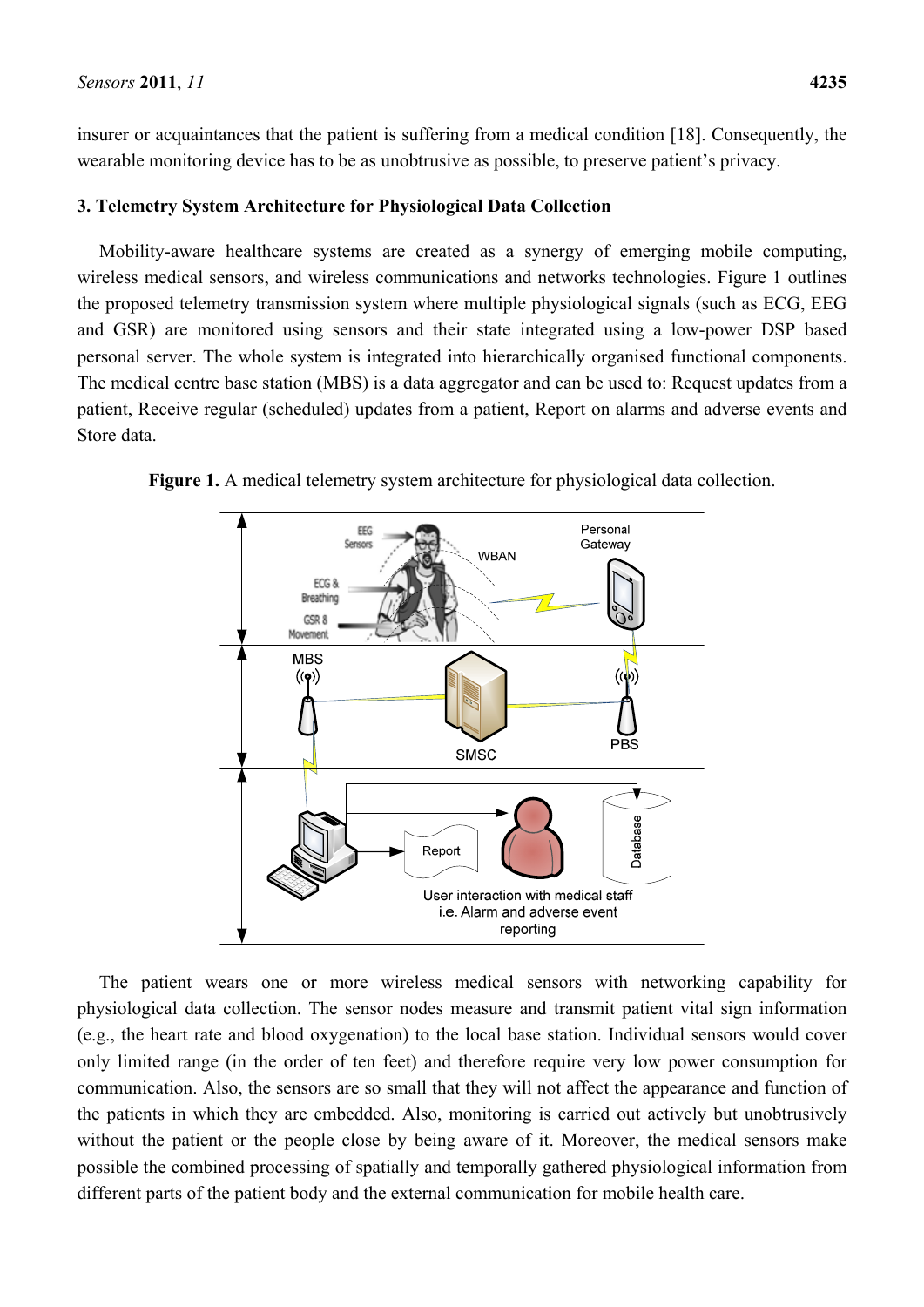insurer or acquaintances that the patient is suffering from a medical condition [18]. Consequently, the wearable monitoring device has to be as unobtrusive as possible, to preserve patient's privacy.

#### **3. Telemetry System Architecture for Physiological Data Collection**

Mobility-aware healthcare systems are created as a synergy of emerging mobile computing, wireless medical sensors, and wireless communications and networks technologies. Figure 1 outlines the proposed telemetry transmission system where multiple physiological signals (such as ECG, EEG and GSR) are monitored using sensors and their state integrated using a low-power DSP based personal server. The whole system is integrated into hierarchically organised functional components. The medical centre base station (MBS) is a data aggregator and can be used to: Request updates from a patient, Receive regular (scheduled) updates from a patient, Report on alarms and adverse events and Store data.



**Figure 1.** A medical telemetry system architecture for physiological data collection.

The patient wears one or more wireless medical sensors with networking capability for physiological data collection. The sensor nodes measure and transmit patient vital sign information (e.g., the heart rate and blood oxygenation) to the local base station. Individual sensors would cover only limited range (in the order of ten feet) and therefore require very low power consumption for communication. Also, the sensors are so small that they will not affect the appearance and function of the patients in which they are embedded. Also, monitoring is carried out actively but unobtrusively without the patient or the people close by being aware of it. Moreover, the medical sensors make possible the combined processing of spatially and temporally gathered physiological information from different parts of the patient body and the external communication for mobile health care.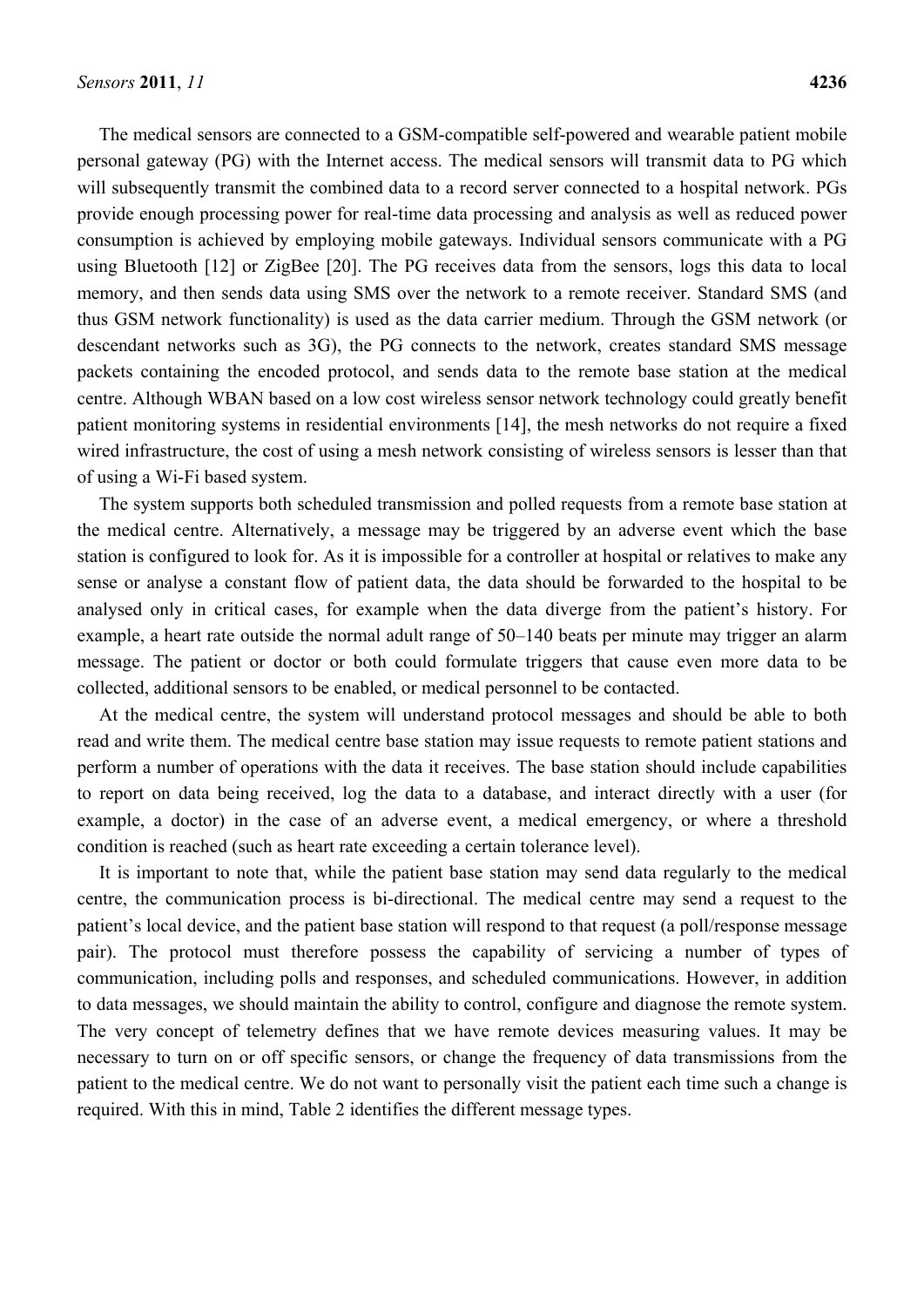The medical sensors are connected to a GSM-compatible self-powered and wearable patient mobile personal gateway (PG) with the Internet access. The medical sensors will transmit data to PG which will subsequently transmit the combined data to a record server connected to a hospital network. PGs provide enough processing power for real-time data processing and analysis as well as reduced power consumption is achieved by employing mobile gateways. Individual sensors communicate with a PG using Bluetooth [12] or ZigBee [20]. The PG receives data from the sensors, logs this data to local memory, and then sends data using SMS over the network to a remote receiver. Standard SMS (and thus GSM network functionality) is used as the data carrier medium. Through the GSM network (or descendant networks such as 3G), the PG connects to the network, creates standard SMS message packets containing the encoded protocol, and sends data to the remote base station at the medical centre. Although WBAN based on a low cost wireless sensor network technology could greatly benefit patient monitoring systems in residential environments [14], the mesh networks do not require a fixed wired infrastructure, the cost of using a mesh network consisting of wireless sensors is lesser than that of using a Wi-Fi based system.

The system supports both scheduled transmission and polled requests from a remote base station at the medical centre. Alternatively, a message may be triggered by an adverse event which the base station is configured to look for. As it is impossible for a controller at hospital or relatives to make any sense or analyse a constant flow of patient data, the data should be forwarded to the hospital to be analysed only in critical cases, for example when the data diverge from the patient's history. For example, a heart rate outside the normal adult range of 50–140 beats per minute may trigger an alarm message. The patient or doctor or both could formulate triggers that cause even more data to be collected, additional sensors to be enabled, or medical personnel to be contacted.

At the medical centre, the system will understand protocol messages and should be able to both read and write them. The medical centre base station may issue requests to remote patient stations and perform a number of operations with the data it receives. The base station should include capabilities to report on data being received, log the data to a database, and interact directly with a user (for example, a doctor) in the case of an adverse event, a medical emergency, or where a threshold condition is reached (such as heart rate exceeding a certain tolerance level).

It is important to note that, while the patient base station may send data regularly to the medical centre, the communication process is bi-directional. The medical centre may send a request to the patient's local device, and the patient base station will respond to that request (a poll/response message pair). The protocol must therefore possess the capability of servicing a number of types of communication, including polls and responses, and scheduled communications. However, in addition to data messages, we should maintain the ability to control, configure and diagnose the remote system. The very concept of telemetry defines that we have remote devices measuring values. It may be necessary to turn on or off specific sensors, or change the frequency of data transmissions from the patient to the medical centre. We do not want to personally visit the patient each time such a change is required. With this in mind, Table 2 identifies the different message types.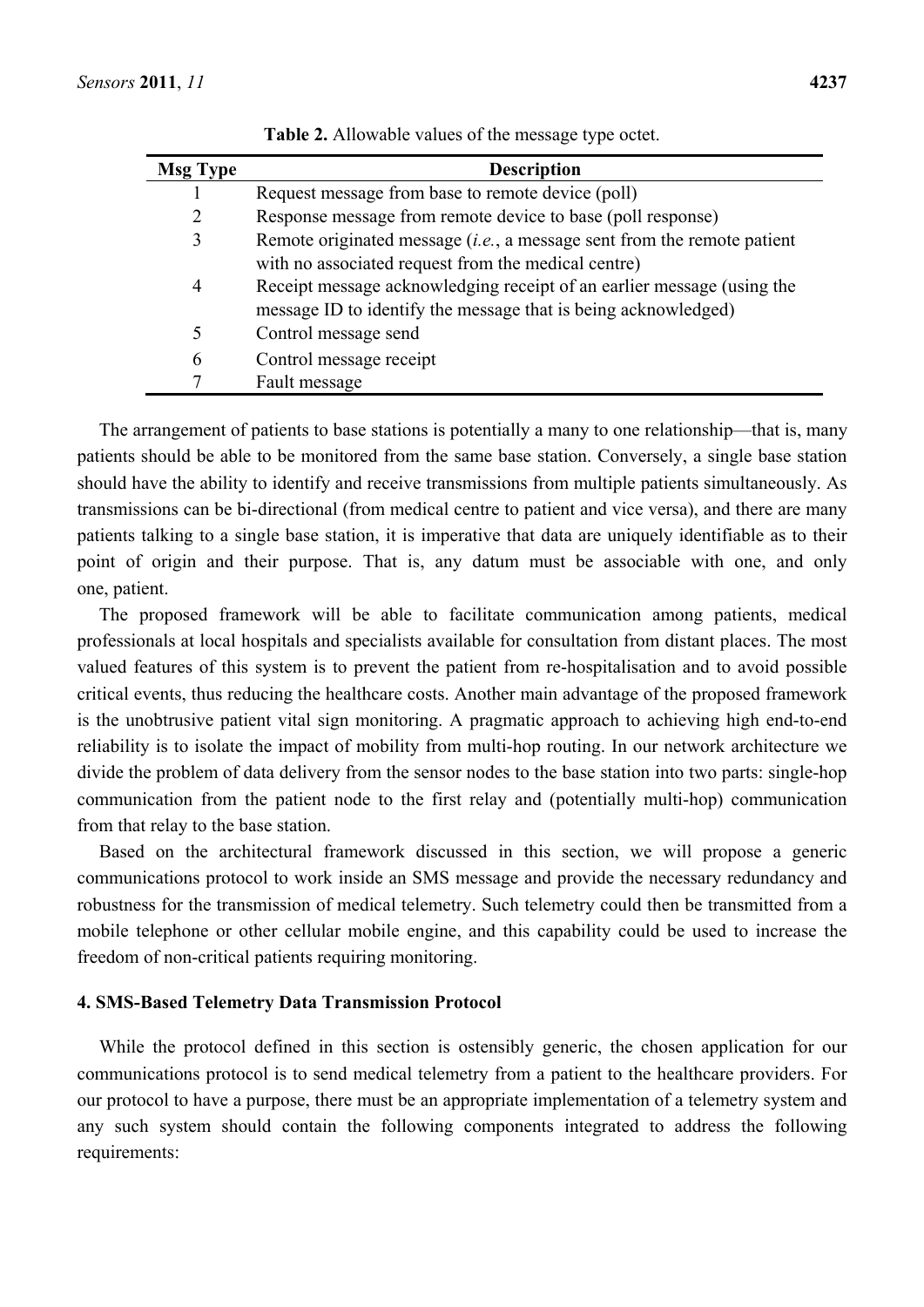| <b>Msg Type</b> | <b>Description</b>                                                         |
|-----------------|----------------------------------------------------------------------------|
|                 | Request message from base to remote device (poll)                          |
| $\overline{2}$  | Response message from remote device to base (poll response)                |
| 3               | Remote originated message $(i.e., a message sent from the remote patient)$ |
|                 | with no associated request from the medical centre)                        |
| 4               | Receipt message acknowledging receipt of an earlier message (using the     |
|                 | message ID to identify the message that is being acknowledged)             |
| 5               | Control message send                                                       |
| 6               | Control message receipt                                                    |
|                 | Fault message                                                              |

**Table 2.** Allowable values of the message type octet.

The arrangement of patients to base stations is potentially a many to one relationship—that is, many patients should be able to be monitored from the same base station. Conversely, a single base station should have the ability to identify and receive transmissions from multiple patients simultaneously. As transmissions can be bi-directional (from medical centre to patient and vice versa), and there are many patients talking to a single base station, it is imperative that data are uniquely identifiable as to their point of origin and their purpose. That is, any datum must be associable with one, and only one, patient.

The proposed framework will be able to facilitate communication among patients, medical professionals at local hospitals and specialists available for consultation from distant places. The most valued features of this system is to prevent the patient from re-hospitalisation and to avoid possible critical events, thus reducing the healthcare costs. Another main advantage of the proposed framework is the unobtrusive patient vital sign monitoring. A pragmatic approach to achieving high end-to-end reliability is to isolate the impact of mobility from multi-hop routing. In our network architecture we divide the problem of data delivery from the sensor nodes to the base station into two parts: single-hop communication from the patient node to the first relay and (potentially multi-hop) communication from that relay to the base station.

Based on the architectural framework discussed in this section, we will propose a generic communications protocol to work inside an SMS message and provide the necessary redundancy and robustness for the transmission of medical telemetry. Such telemetry could then be transmitted from a mobile telephone or other cellular mobile engine, and this capability could be used to increase the freedom of non-critical patients requiring monitoring.

#### **4. SMS-Based Telemetry Data Transmission Protocol**

While the protocol defined in this section is ostensibly generic, the chosen application for our communications protocol is to send medical telemetry from a patient to the healthcare providers. For our protocol to have a purpose, there must be an appropriate implementation of a telemetry system and any such system should contain the following components integrated to address the following requirements: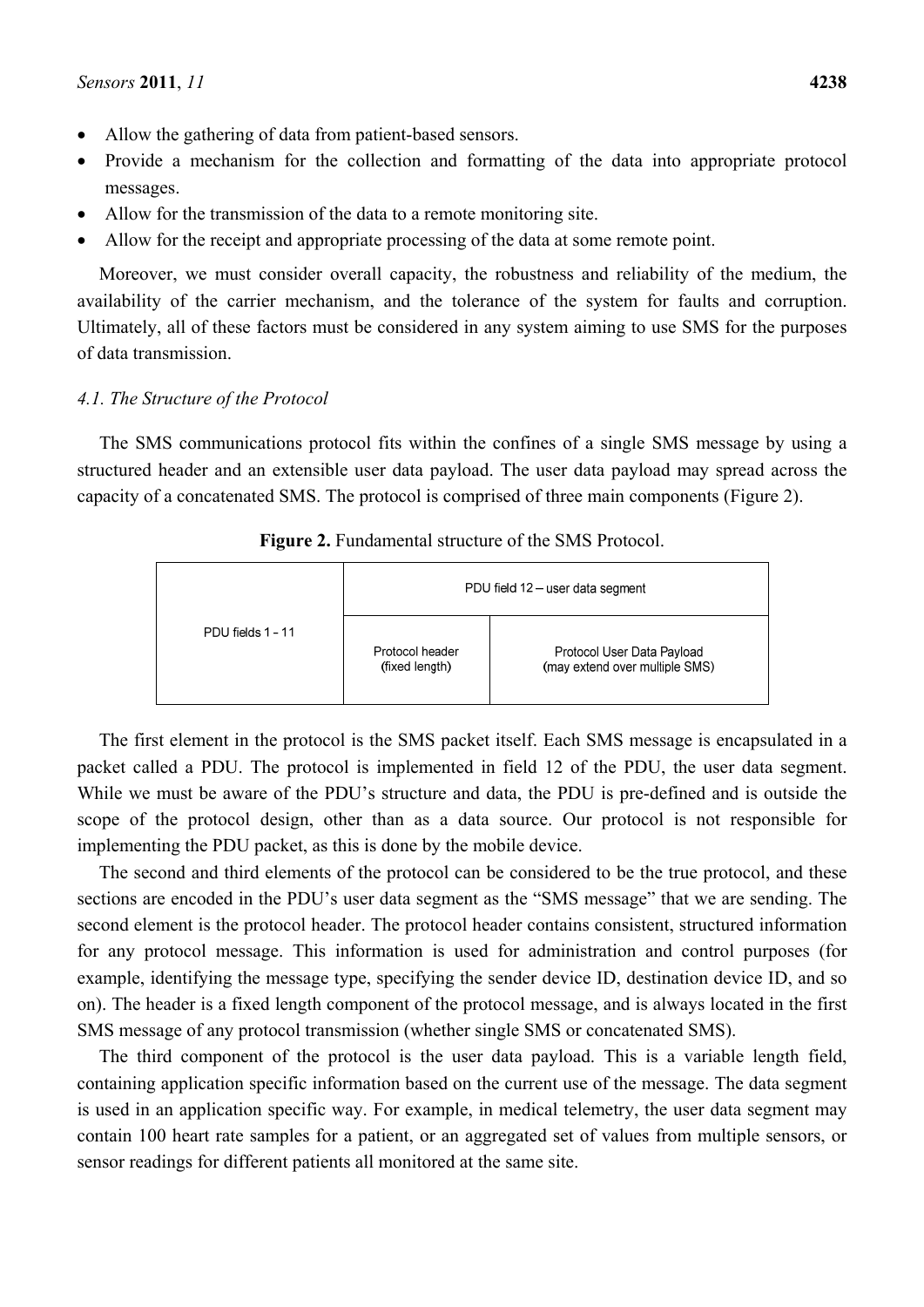- Allow the gathering of data from patient-based sensors.
- Provide a mechanism for the collection and formatting of the data into appropriate protocol messages.
- Allow for the transmission of the data to a remote monitoring site.
- Allow for the receipt and appropriate processing of the data at some remote point.

Moreover, we must consider overall capacity, the robustness and reliability of the medium, the availability of the carrier mechanism, and the tolerance of the system for faults and corruption. Ultimately, all of these factors must be considered in any system aiming to use SMS for the purposes of data transmission.

#### *4.1. The Structure of the Protocol*

The SMS communications protocol fits within the confines of a single SMS message by using a structured header and an extensible user data payload. The user data payload may spread across the capacity of a concatenated SMS. The protocol is comprised of three main components (Figure 2).

|                   | PDU field 12 – user data segment  |                                                              |  |
|-------------------|-----------------------------------|--------------------------------------------------------------|--|
| PDU fields 1 - 11 | Protocol header<br>(fixed length) | Protocol User Data Payload<br>(may extend over multiple SMS) |  |

**Figure 2.** Fundamental structure of the SMS Protocol.

The first element in the protocol is the SMS packet itself. Each SMS message is encapsulated in a packet called a PDU. The protocol is implemented in field 12 of the PDU, the user data segment. While we must be aware of the PDU's structure and data, the PDU is pre-defined and is outside the scope of the protocol design, other than as a data source. Our protocol is not responsible for implementing the PDU packet, as this is done by the mobile device.

The second and third elements of the protocol can be considered to be the true protocol, and these sections are encoded in the PDU's user data segment as the "SMS message" that we are sending. The second element is the protocol header. The protocol header contains consistent, structured information for any protocol message. This information is used for administration and control purposes (for example, identifying the message type, specifying the sender device ID, destination device ID, and so on). The header is a fixed length component of the protocol message, and is always located in the first SMS message of any protocol transmission (whether single SMS or concatenated SMS).

The third component of the protocol is the user data payload. This is a variable length field, containing application specific information based on the current use of the message. The data segment is used in an application specific way. For example, in medical telemetry, the user data segment may contain 100 heart rate samples for a patient, or an aggregated set of values from multiple sensors, or sensor readings for different patients all monitored at the same site.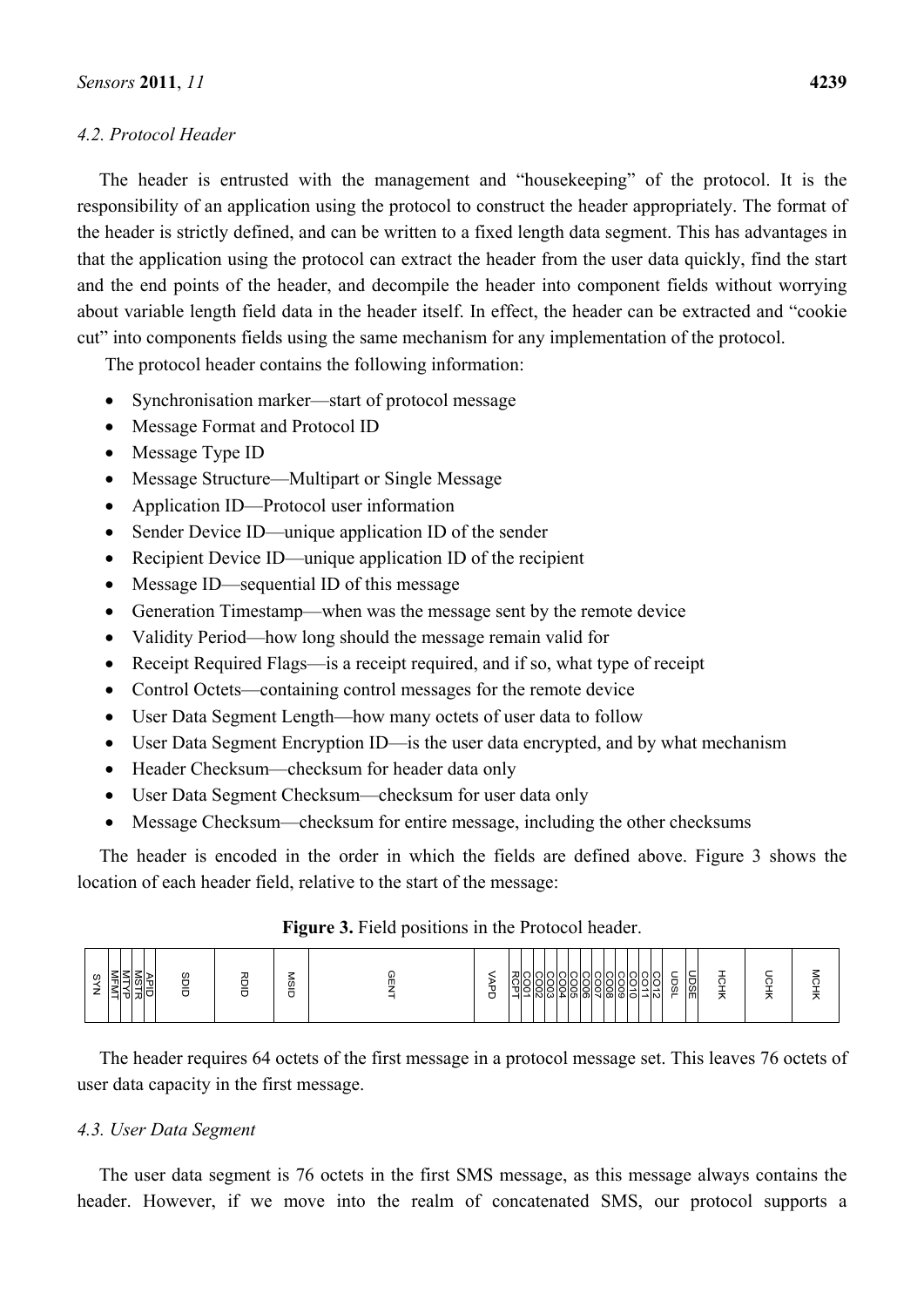#### *4.2. Protocol Header*

The header is entrusted with the management and "housekeeping" of the protocol. It is the responsibility of an application using the protocol to construct the header appropriately. The format of the header is strictly defined, and can be written to a fixed length data segment. This has advantages in that the application using the protocol can extract the header from the user data quickly, find the start and the end points of the header, and decompile the header into component fields without worrying about variable length field data in the header itself. In effect, the header can be extracted and "cookie cut" into components fields using the same mechanism for any implementation of the protocol.

The protocol header contains the following information:

- Synchronisation marker—start of protocol message
- Message Format and Protocol ID
- Message Type ID
- Message Structure—Multipart or Single Message
- Application ID—Protocol user information
- Sender Device ID—unique application ID of the sender
- Recipient Device ID—unique application ID of the recipient
- Message ID—sequential ID of this message
- Generation Timestamp—when was the message sent by the remote device
- Validity Period—how long should the message remain valid for
- Receipt Required Flags—is a receipt required, and if so, what type of receipt
- Control Octets—containing control messages for the remote device
- User Data Segment Length—how many octets of user data to follow
- User Data Segment Encryption ID—is the user data encrypted, and by what mechanism
- Header Checksum—checksum for header data only
- User Data Segment Checksum—checksum for user data only
- Message Checksum—checksum for entire message, including the other checksums

The header is encoded in the order in which the fields are defined above. Figure 3 shows the location of each header field, relative to the start of the message:

**Figure 3.** Field positions in the Protocol header.

| $\overline{\phantom{0}}$<br>ω<br>S<br>루<br>-<br>$\omega$<br>-<br>Ø<br>-<br>∍<br>∸<br>ינכונד<br>⊣ | $\overline{a}$<br>$\sim$<br>∃וסוג<br><u>ဂ</u> ္ဂု<br>께<br>'원하다'<br>이<br>∽<br>'יי⊻.<br>∽<br>_<br>DSE<br>ال<br>. U<br>ັ<br>τ<br><b>SC</b><br>리잉잉히잉잉잉잉잉의ㅋㅋ의<br>uı<br>-<br>القبا<br>-<br>◡ |  |
|--------------------------------------------------------------------------------------------------|----------------------------------------------------------------------------------------------------------------------------------------------------------------------------------------|--|
|--------------------------------------------------------------------------------------------------|----------------------------------------------------------------------------------------------------------------------------------------------------------------------------------------|--|

The header requires 64 octets of the first message in a protocol message set. This leaves 76 octets of user data capacity in the first message.

### *4.3. User Data Segment*

The user data segment is 76 octets in the first SMS message, as this message always contains the header. However, if we move into the realm of concatenated SMS, our protocol supports a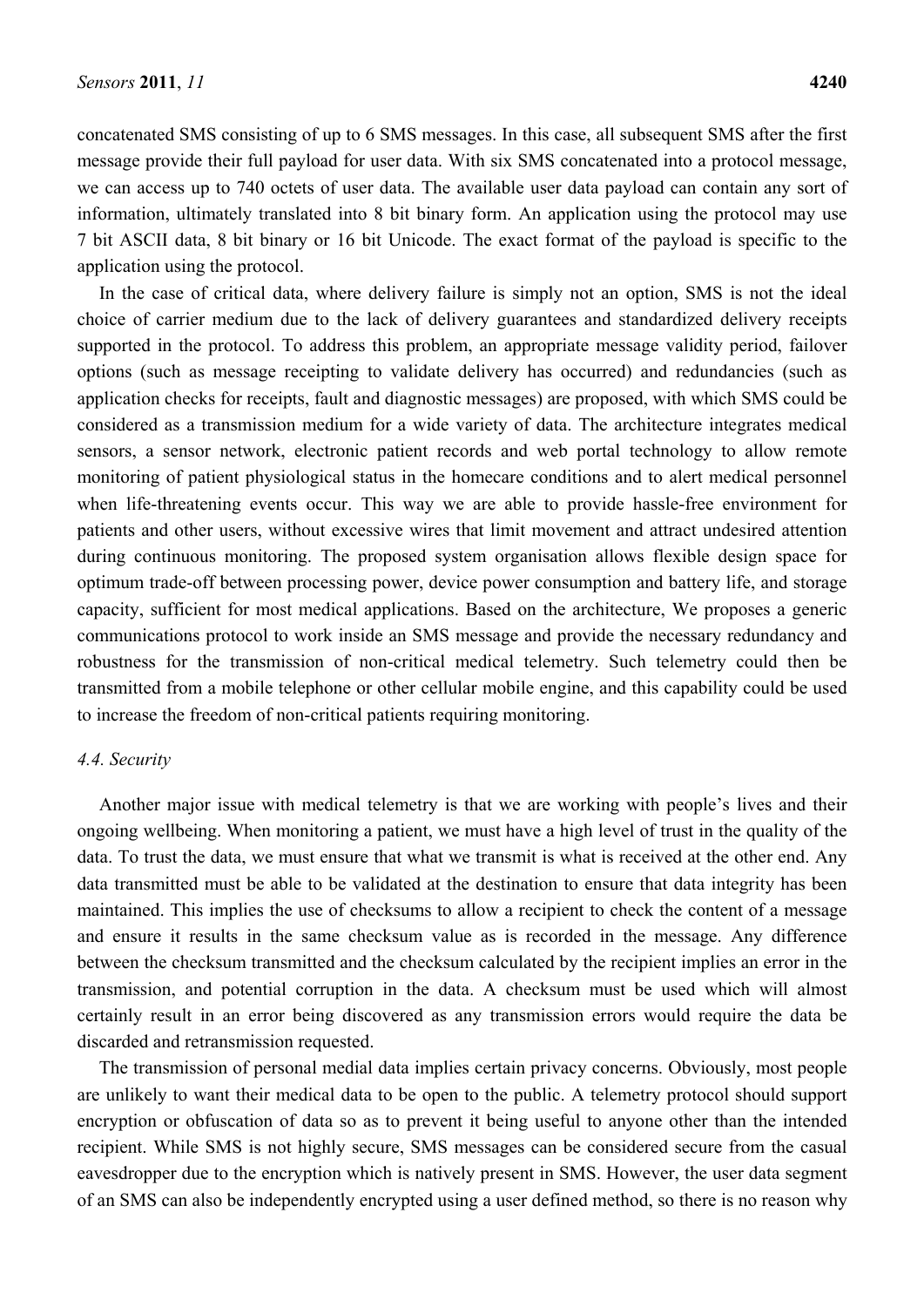concatenated SMS consisting of up to 6 SMS messages. In this case, all subsequent SMS after the first message provide their full payload for user data. With six SMS concatenated into a protocol message, we can access up to 740 octets of user data. The available user data payload can contain any sort of information, ultimately translated into 8 bit binary form. An application using the protocol may use 7 bit ASCII data, 8 bit binary or 16 bit Unicode. The exact format of the payload is specific to the application using the protocol.

In the case of critical data, where delivery failure is simply not an option, SMS is not the ideal choice of carrier medium due to the lack of delivery guarantees and standardized delivery receipts supported in the protocol. To address this problem, an appropriate message validity period, failover options (such as message receipting to validate delivery has occurred) and redundancies (such as application checks for receipts, fault and diagnostic messages) are proposed, with which SMS could be considered as a transmission medium for a wide variety of data. The architecture integrates medical sensors, a sensor network, electronic patient records and web portal technology to allow remote monitoring of patient physiological status in the homecare conditions and to alert medical personnel when life-threatening events occur. This way we are able to provide hassle-free environment for patients and other users, without excessive wires that limit movement and attract undesired attention during continuous monitoring. The proposed system organisation allows flexible design space for optimum trade-off between processing power, device power consumption and battery life, and storage capacity, sufficient for most medical applications. Based on the architecture, We proposes a generic communications protocol to work inside an SMS message and provide the necessary redundancy and robustness for the transmission of non-critical medical telemetry. Such telemetry could then be transmitted from a mobile telephone or other cellular mobile engine, and this capability could be used to increase the freedom of non-critical patients requiring monitoring.

#### *4.4. Security*

Another major issue with medical telemetry is that we are working with people's lives and their ongoing wellbeing. When monitoring a patient, we must have a high level of trust in the quality of the data. To trust the data, we must ensure that what we transmit is what is received at the other end. Any data transmitted must be able to be validated at the destination to ensure that data integrity has been maintained. This implies the use of checksums to allow a recipient to check the content of a message and ensure it results in the same checksum value as is recorded in the message. Any difference between the checksum transmitted and the checksum calculated by the recipient implies an error in the transmission, and potential corruption in the data. A checksum must be used which will almost certainly result in an error being discovered as any transmission errors would require the data be discarded and retransmission requested.

The transmission of personal medial data implies certain privacy concerns. Obviously, most people are unlikely to want their medical data to be open to the public. A telemetry protocol should support encryption or obfuscation of data so as to prevent it being useful to anyone other than the intended recipient. While SMS is not highly secure, SMS messages can be considered secure from the casual eavesdropper due to the encryption which is natively present in SMS. However, the user data segment of an SMS can also be independently encrypted using a user defined method, so there is no reason why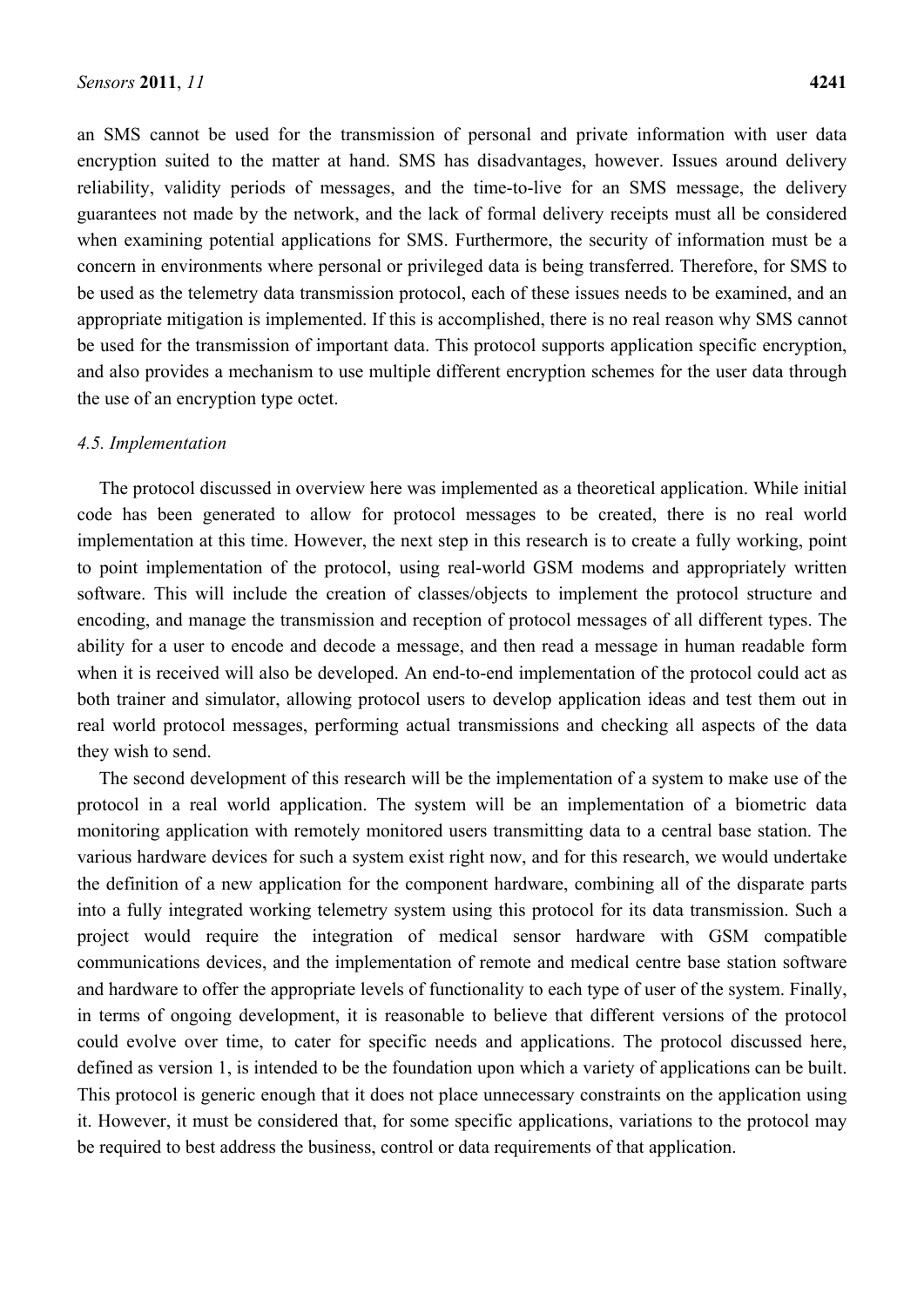an SMS cannot be used for the transmission of personal and private information with user data encryption suited to the matter at hand. SMS has disadvantages, however. Issues around delivery reliability, validity periods of messages, and the time-to-live for an SMS message, the delivery guarantees not made by the network, and the lack of formal delivery receipts must all be considered when examining potential applications for SMS. Furthermore, the security of information must be a concern in environments where personal or privileged data is being transferred. Therefore, for SMS to be used as the telemetry data transmission protocol, each of these issues needs to be examined, and an appropriate mitigation is implemented. If this is accomplished, there is no real reason why SMS cannot be used for the transmission of important data. This protocol supports application specific encryption, and also provides a mechanism to use multiple different encryption schemes for the user data through the use of an encryption type octet.

#### *4.5. Implementation*

The protocol discussed in overview here was implemented as a theoretical application. While initial code has been generated to allow for protocol messages to be created, there is no real world implementation at this time. However, the next step in this research is to create a fully working, point to point implementation of the protocol, using real-world GSM modems and appropriately written software. This will include the creation of classes/objects to implement the protocol structure and encoding, and manage the transmission and reception of protocol messages of all different types. The ability for a user to encode and decode a message, and then read a message in human readable form when it is received will also be developed. An end-to-end implementation of the protocol could act as both trainer and simulator, allowing protocol users to develop application ideas and test them out in real world protocol messages, performing actual transmissions and checking all aspects of the data they wish to send.

The second development of this research will be the implementation of a system to make use of the protocol in a real world application. The system will be an implementation of a biometric data monitoring application with remotely monitored users transmitting data to a central base station. The various hardware devices for such a system exist right now, and for this research, we would undertake the definition of a new application for the component hardware, combining all of the disparate parts into a fully integrated working telemetry system using this protocol for its data transmission. Such a project would require the integration of medical sensor hardware with GSM compatible communications devices, and the implementation of remote and medical centre base station software and hardware to offer the appropriate levels of functionality to each type of user of the system. Finally, in terms of ongoing development, it is reasonable to believe that different versions of the protocol could evolve over time, to cater for specific needs and applications. The protocol discussed here, defined as version 1, is intended to be the foundation upon which a variety of applications can be built. This protocol is generic enough that it does not place unnecessary constraints on the application using it. However, it must be considered that, for some specific applications, variations to the protocol may be required to best address the business, control or data requirements of that application.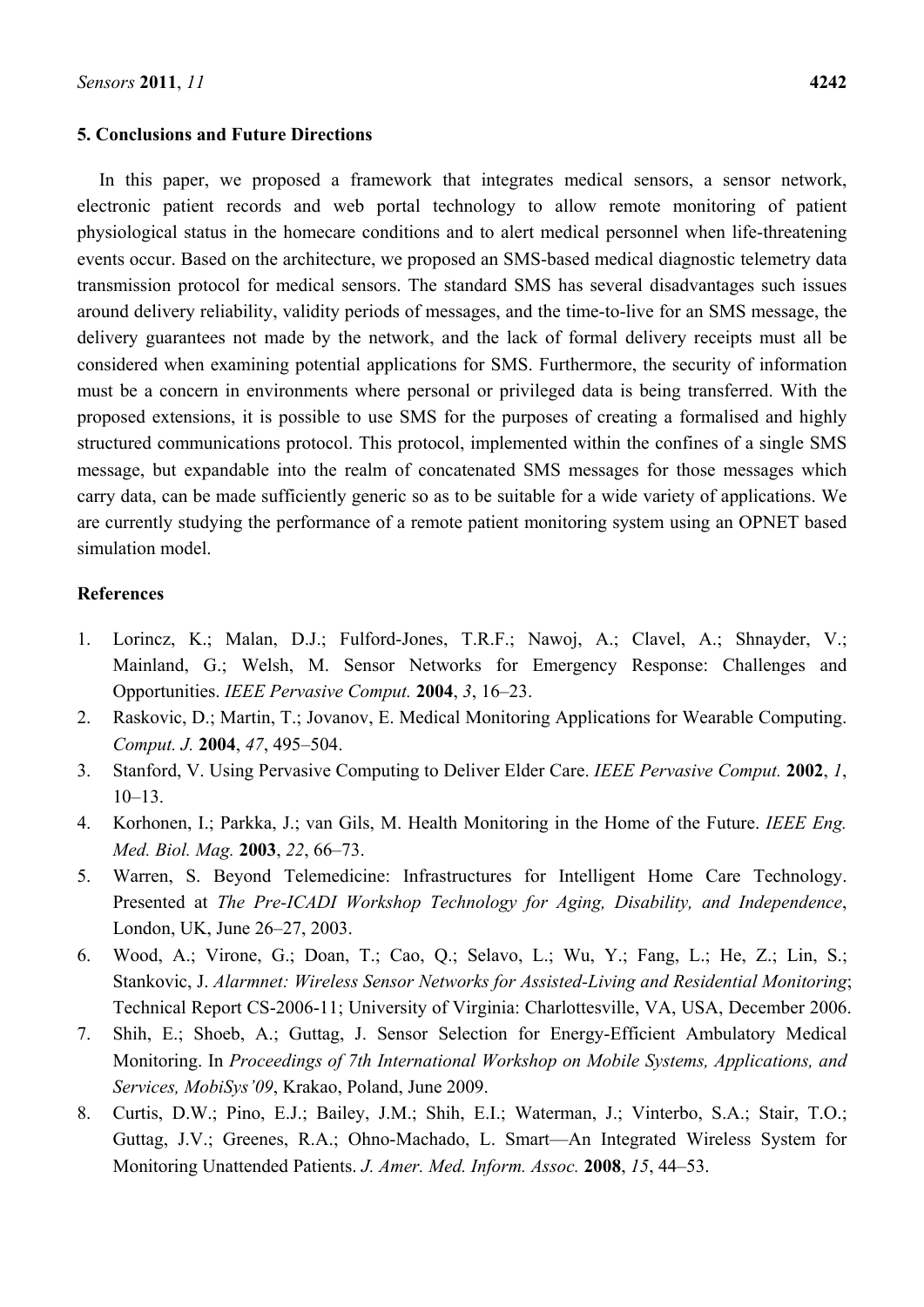#### **5. Conclusions and Future Directions**

In this paper, we proposed a framework that integrates medical sensors, a sensor network, electronic patient records and web portal technology to allow remote monitoring of patient physiological status in the homecare conditions and to alert medical personnel when life-threatening events occur. Based on the architecture, we proposed an SMS-based medical diagnostic telemetry data transmission protocol for medical sensors. The standard SMS has several disadvantages such issues around delivery reliability, validity periods of messages, and the time-to-live for an SMS message, the delivery guarantees not made by the network, and the lack of formal delivery receipts must all be considered when examining potential applications for SMS. Furthermore, the security of information must be a concern in environments where personal or privileged data is being transferred. With the proposed extensions, it is possible to use SMS for the purposes of creating a formalised and highly structured communications protocol. This protocol, implemented within the confines of a single SMS message, but expandable into the realm of concatenated SMS messages for those messages which carry data, can be made sufficiently generic so as to be suitable for a wide variety of applications. We are currently studying the performance of a remote patient monitoring system using an OPNET based simulation model.

#### **References**

- 1. Lorincz, K.; Malan, D.J.; Fulford-Jones, T.R.F.; Nawoj, A.; Clavel, A.; Shnayder, V.; Mainland, G.; Welsh, M. Sensor Networks for Emergency Response: Challenges and Opportunities. *IEEE Pervasive Comput.* **2004**, *3*, 16–23.
- 2. Raskovic, D.; Martin, T.; Jovanov, E. Medical Monitoring Applications for Wearable Computing. *Comput. J.* **2004**, *47*, 495–504.
- 3. Stanford, V. Using Pervasive Computing to Deliver Elder Care. *IEEE Pervasive Comput.* **2002**, *1*,  $10-13$ .
- 4. Korhonen, I.; Parkka, J.; van Gils, M. Health Monitoring in the Home of the Future. *IEEE Eng. Med. Biol. Mag.* **2003**, *22*, 66–73.
- 5. Warren, S. Beyond Telemedicine: Infrastructures for Intelligent Home Care Technology. Presented at *The Pre-ICADI Workshop Technology for Aging, Disability, and Independence*, London, UK, June 26–27, 2003.
- 6. Wood, A.; Virone, G.; Doan, T.; Cao, Q.; Selavo, L.; Wu, Y.; Fang, L.; He, Z.; Lin, S.; Stankovic, J. *Alarmnet: Wireless Sensor Networks for Assisted-Living and Residential Monitoring*; Technical Report CS-2006-11; University of Virginia: Charlottesville, VA, USA, December 2006.
- 7. Shih, E.; Shoeb, A.; Guttag, J. Sensor Selection for Energy-Efficient Ambulatory Medical Monitoring. In *Proceedings of 7th International Workshop on Mobile Systems, Applications, and Services, MobiSys'09*, Krakao, Poland, June 2009.
- 8. Curtis, D.W.; Pino, E.J.; Bailey, J.M.; Shih, E.I.; Waterman, J.; Vinterbo, S.A.; Stair, T.O.; Guttag, J.V.; Greenes, R.A.; Ohno-Machado, L. Smart—An Integrated Wireless System for Monitoring Unattended Patients. *J. Amer. Med. Inform. Assoc.* **2008**, *15*, 44–53.